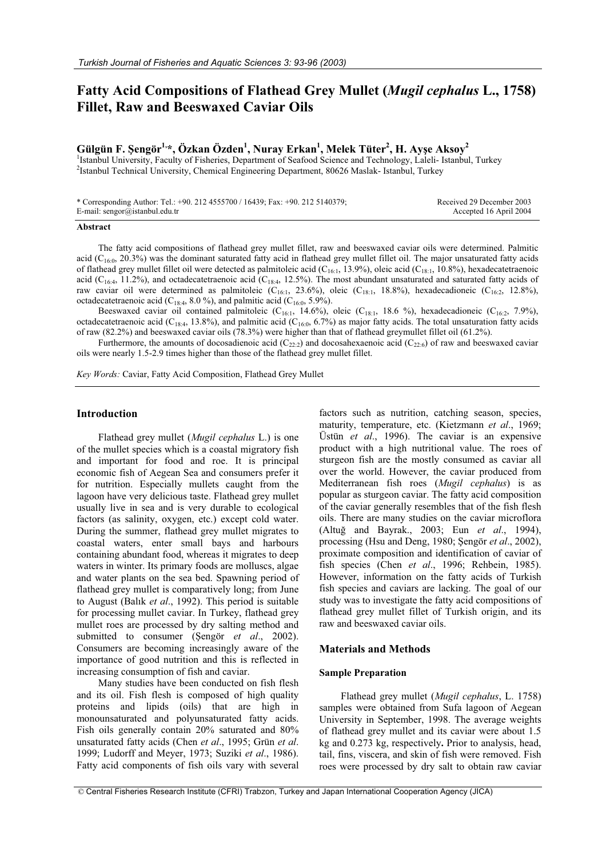# **Fatty Acid Compositions of Flathead Grey Mullet (***Mugil cephalus* **L., 1758) Fillet, Raw and Beeswaxed Caviar Oils**

## $\mathbf{G}$ ülgün F. Şengör $^{1,\ast}$ , Özkan Özden $^{1}$ , Nuray Erkan $^{1}$ , Melek Tüter $^{2}$ , H. Ayşe Aksoy $^{2}$

<sup>1</sup>Istanbul University, Faculty of Fisheries, Department of Seafood Science and Technology, Laleli- Istanbul, Turkey 2 Istanbul Technical University, Chemical Engineering Department, 80626 Maslak- Istanbul, Turkey

\* Corresponding Author: Tel.: +90. 212 4555700 / 16439; Fax: +90. 212 5140379; E-mail: sengor@istanbul.edu.tr

#### Received 29 December 2003 Accepted 16 April 2004

#### **Abstract**

The fatty acid compositions of flathead grey mullet fillet, raw and beeswaxed caviar oils were determined. Palmitic acid ( $C_{16:0}$ , 20.3%) was the dominant saturated fatty acid in flathead grey mullet fillet oil. The major unsaturated fatty acids of flathead grey mullet fillet oil were detected as palmitoleic acid (C<sub>16:1</sub>, 13.9%), oleic acid (C<sub>18:1</sub>, 10.8%), hexadecatetraenoic acid ( $C_{16:4}$ , 11.2%), and octadecatetraenoic acid ( $C_{18:4}$ , 12.5%). The most abundant unsaturated and saturated fatty acids of raw caviar oil were determined as palmitoleic (C<sub>16:1</sub>, 23.6%), oleic (C<sub>18:1</sub>, 18.8%), hexadecadioneic (C<sub>16:2</sub>, 12.8%), octadecatetraenoic acid ( $C_{18:4}$ , 8.0 %), and palmitic acid ( $C_{16:0}$ , 5.9%).

Beeswaxed caviar oil contained palmitoleic (C<sub>16:1</sub>, 14.6%), oleic (C<sub>18:1</sub>, 18.6 %), hexadecadioneic (C<sub>16:2</sub>, 7.9%), octadecatetraenoic acid ( $C_{18:4}$ , 13.8%), and palmitic acid ( $C_{16:0}$ , 6.7%) as major fatty acids. The total unsaturation fatty acids of raw (82.2%) and beeswaxed caviar oils (78.3%) were higher than that of flathead greymullet fillet oil (61.2%).

Furthermore, the amounts of docosadienoic acid  $(C_{22:2})$  and docosahexaenoic acid  $(C_{22:6})$  of raw and beeswaxed caviar oils were nearly 1.5-2.9 times higher than those of the flathead grey mullet fillet.

*Key Words:* Caviar, Fatty Acid Composition, Flathead Grey Mullet

#### **Introduction**

Flathead grey mullet (*Mugil cephalus* L.) is one of the mullet species which is a coastal migratory fish and important for food and roe. It is principal economic fish of Aegean Sea and consumers prefer it for nutrition. Especially mullets caught from the lagoon have very delicious taste. Flathead grey mullet usually live in sea and is very durable to ecological factors (as salinity, oxygen, etc.) except cold water. During the summer, flathead grey mullet migrates to coastal waters, enter small bays and harbours containing abundant food, whereas it migrates to deep waters in winter. Its primary foods are molluscs, algae and water plants on the sea bed. Spawning period of flathead grey mullet is comparatively long; from June to August (Balık *et al*., 1992). This period is suitable for processing mullet caviar. In Turkey, flathead grey mullet roes are processed by dry salting method and submitted to consumer (Sengör *et al.*, 2002). Consumers are becoming increasingly aware of the importance of good nutrition and this is reflected in increasing consumption of fish and caviar.

Many studies have been conducted on fish flesh and its oil. Fish flesh is composed of high quality proteins and lipids (oils) that are high in monounsaturated and polyunsaturated fatty acids. Fish oils generally contain 20% saturated and 80% unsaturated fatty acids (Chen *et al*., 1995; Grün *et al*. 1999; Ludorff and Meyer, 1973; Suziki *et al*., 1986). Fatty acid components of fish oils vary with several

factors such as nutrition, catching season, species, maturity, temperature, etc. (Kietzmann *et al*., 1969; Üstün *et al*., 1996). The caviar is an expensive product with a high nutritional value. The roes of sturgeon fish are the mostly consumed as caviar all over the world. However, the caviar produced from Mediterranean fish roes (*Mugil cephalus*) is as popular as sturgeon caviar. The fatty acid composition of the caviar generally resembles that of the fish flesh oils. There are many studies on the caviar microflora (Altu÷ and Bayrak., 2003; Eun *et al*., 1994), processing (Hsu and Deng, 1980; Şengör et al., 2002), proximate composition and identification of caviar of fish species (Chen *et al*., 1996; Rehbein, 1985). However, information on the fatty acids of Turkish fish species and caviars are lacking. The goal of our study was to investigate the fatty acid compositions of flathead grey mullet fillet of Turkish origin, and its raw and beeswaxed caviar oils.

#### **Materials and Methods**

#### **Sample Preparation**

Flathead grey mullet (*Mugil cephalus*, L. 1758) samples were obtained from Sufa lagoon of Aegean University in September, 1998. The average weights of flathead grey mullet and its caviar were about 1.5 kg and 0.273 kg, respectively**.** Prior to analysis, head, tail, fins, viscera, and skin of fish were removed. Fish roes were processed by dry salt to obtain raw caviar

 <sup>©</sup> Central Fisheries Research Institute (CFRI) Trabzon, Turkey and Japan International Cooperation Agency (JICA)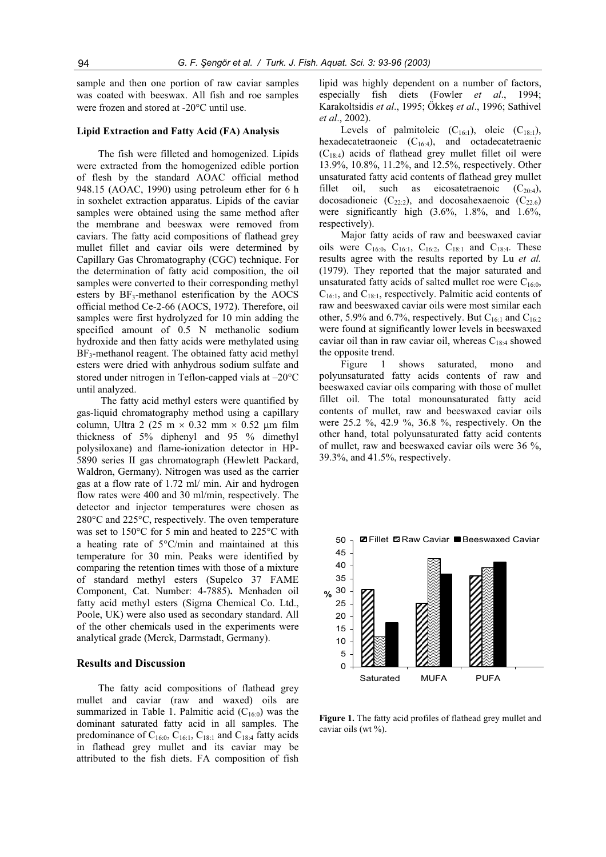sample and then one portion of raw caviar samples was coated with beeswax. All fish and roe samples were frozen and stored at  $-20^{\circ}$ C until use.

## **Lipid Extraction and Fatty Acid (FA) Analysis**

The fish were filleted and homogenized. Lipids were extracted from the homogenized edible portion of flesh by the standard AOAC official method 948.15 (AOAC, 1990) using petroleum ether for 6 h in soxhelet extraction apparatus. Lipids of the caviar samples were obtained using the same method after the membrane and beeswax were removed from caviars. The fatty acid compositions of flathead grey mullet fillet and caviar oils were determined by Capillary Gas Chromatography (CGC) technique. For the determination of fatty acid composition, the oil samples were converted to their corresponding methyl esters by  $BF_3$ -methanol esterification by the AOCS official method Ce-2-66 (AOCS, 1972). Therefore, oil samples were first hydrolyzed for 10 min adding the specified amount of 0.5 N methanolic sodium hydroxide and then fatty acids were methylated using  $BF_3$ -methanol reagent. The obtained fatty acid methyl esters were dried with anhydrous sodium sulfate and stored under nitrogen in Teflon-capped vials at  $-20^{\circ}$ C until analyzed.

 The fatty acid methyl esters were quantified by gas-liquid chromatography method using a capillary column, Ultra 2 (25 m  $\times$  0.32 mm  $\times$  0.52 µm film thickness of 5% diphenyl and 95 % dimethyl polysiloxane) and flame-ionization detector in HP-5890 series II gas chromatograph (Hewlett Packard, Waldron, Germany). Nitrogen was used as the carrier gas at a flow rate of 1.72 ml/ min. Air and hydrogen flow rates were 400 and 30 ml/min, respectively. The detector and injector temperatures were chosen as  $280^{\circ}$ C and  $225^{\circ}$ C, respectively. The oven temperature was set to  $150^{\circ}$ C for 5 min and heated to  $225^{\circ}$ C with a heating rate of  $5^{\circ}$ C/min and maintained at this temperature for 30 min. Peaks were identified by comparing the retention times with those of a mixture of standard methyl esters (Supelco 37 FAME Component, Cat. Number: 4-7885)**.** Menhaden oil fatty acid methyl esters (Sigma Chemical Co. Ltd., Poole, UK) were also used as secondary standard. All of the other chemicals used in the experiments were analytical grade (Merck, Darmstadt, Germany).

## **Results and Discussion**

The fatty acid compositions of flathead grey mullet and caviar (raw and waxed) oils are summarized in Table 1. Palmitic acid  $(C_{16:0})$  was the dominant saturated fatty acid in all samples. The predominance of  $C_{16:0}$ ,  $C_{16:1}$ ,  $C_{18:1}$  and  $C_{18:4}$  fatty acids in flathead grey mullet and its caviar may be attributed to the fish diets. FA composition of fish lipid was highly dependent on a number of factors, especially fish diets (Fowler *et al*., 1994; Karakoltsidis et al., 1995; Ökkeş et al., 1996; Sathivel *et al*., 2002).

Levels of palmitoleic  $(C_{16:1})$ , oleic  $(C_{18:1})$ , hexadecatetraoneic  $(C_{16:4})$ , and octadecatetraenic  $(C_{18.4})$  acids of flathead grey mullet fillet oil were 13.9%, 10.8%, 11.2%, and 12.5%, respectively. Other unsaturated fatty acid contents of flathead grey mullet fillet oil, such as eicosatetraenoic  $(C_{20.4})$ , docosadioneic  $(C_{22:2})$ , and docosahexaenoic  $(C_{22:6})$ were significantly high (3.6%, 1.8%, and 1.6%, respectively).

Major fatty acids of raw and beeswaxed caviar oils were  $C_{16:0}$ ,  $C_{16:1}$ ,  $C_{16:2}$ ,  $C_{18:1}$  and  $C_{18:4}$ . These results agree with the results reported by Lu *et al.* (1979). They reported that the major saturated and unsaturated fatty acids of salted mullet roe were  $C_{16:0}$ ,  $C_{16:1}$ , and  $C_{18:1}$ , respectively. Palmitic acid contents of raw and beeswaxed caviar oils were most similar each other, 5.9% and 6.7%, respectively. But C<sub>16:1</sub> and C<sub>16:2</sub> were found at significantly lower levels in beeswaxed caviar oil than in raw caviar oil, whereas  $C_{18:4}$  showed the opposite trend.

Figure 1 shows saturated, mono and polyunsaturated fatty acids contents of raw and beeswaxed caviar oils comparing with those of mullet fillet oil. The total monounsaturated fatty acid contents of mullet, raw and beeswaxed caviar oils were 25.2 %, 42.9 %, 36.8 %, respectively. On the other hand, total polyunsaturated fatty acid contents of mullet, raw and beeswaxed caviar oils were 36 %, 39.3%, and 41.5%, respectively.



Figure 1. The fatty acid profiles of flathead grey mullet and caviar oils (wt %).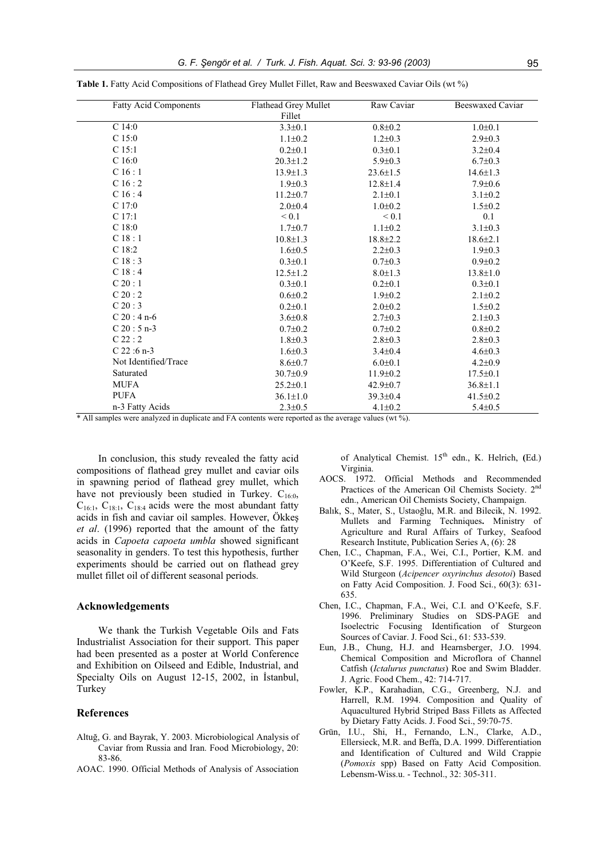| <b>Fatty Acid Components</b> | Flathead Grey Mullet | Raw Caviar     | <b>Beeswaxed Caviar</b> |
|------------------------------|----------------------|----------------|-------------------------|
|                              | Fillet               |                |                         |
| $C$ 14:0                     | $3.3 \pm 0.1$        | $0.8 + 0.2$    | $1.0 \pm 0.1$           |
| C <sub>15:0</sub>            | $1.1 \pm 0.2$        | $1.2 \pm 0.3$  | $2.9 \pm 0.3$           |
| $C$ 15:1                     | $0.2{\pm}0.1$        | $0.3 \pm 0.1$  | $3.2 \pm 0.4$           |
| C <sub>16:0</sub>            | $20.3 \pm 1.2$       | $5.9 \pm 0.3$  | $6.7 \pm 0.3$           |
| C16:1                        | $13.9 \pm 1.3$       | $23.6 \pm 1.5$ | $14.6 \pm 1.3$          |
| C16:2                        | $1.9 \pm 0.3$        | $12.8 \pm 1.4$ | $7.9 \pm 0.6$           |
| C16:4                        | $11.2 \pm 0.7$       | $2.1 \pm 0.1$  | $3.1 \pm 0.2$           |
| $C$ 17:0                     | $2.0 \pm 0.4$        | $1.0 \pm 0.2$  | $1.5 \pm 0.2$           |
| C 17:1                       | ${}_{0.1}$           | $\leq 0.1$     | 0.1                     |
| $\mathrm{C}$ 18:0            | $1.7 \pm 0.7$        | $1.1 \pm 0.2$  | $3.1 \pm 0.3$           |
| C18:1                        | $10.8 \pm 1.3$       | $18.8 \pm 2.2$ | $18.6{\pm}2.1$          |
| C <sub>18:2</sub>            | $1.6 \pm 0.5$        | $2.2 \pm 0.3$  | $1.9 \pm 0.3$           |
| C18:3                        | $0.3 \pm 0.1$        | $0.7 + 0.3$    | $0.9 \pm 0.2$           |
| C18:4                        | $12.5 \pm 1.2$       | $8.0 \pm 1.3$  | $13.8 \pm 1.0$          |
| C20:1                        | $0.3 \pm 0.1$        | $0.2 \pm 0.1$  | $0.3 \pm 0.1$           |
| C20:2                        | $0.6{\pm}0.2$        | $1.9 \pm 0.2$  | $2.1 \pm 0.2$           |
| C20:3                        | $0.2{\pm}0.1$        | $2.0 \pm 0.2$  | $1.5 \pm 0.2$           |
| $C_20:4n-6$                  | $3.6 \pm 0.8$        | $2.7 \pm 0.3$  | $2.1 \pm 0.3$           |
| $C_20:5n-3$                  | $0.7 \pm 0.2$        | $0.7 \pm 0.2$  | $0.8{\pm}0.2$           |
| C22:2                        | $1.8 \pm 0.3$        | $2.8 \pm 0.3$  | $2.8 \pm 0.3$           |
| $C$ 22:6 n-3                 | $1.6 \pm 0.3$        | $3.4 \pm 0.4$  | $4.6 \pm 0.3$           |
| Not Identified/Trace         | $8.6 \pm 0.7$        | $6.0 \pm 0.1$  | $4.2 \pm 0.9$           |
| Saturated                    | $30.7 \pm 0.9$       | $11.9 \pm 0.2$ | $17.5 \pm 0.1$          |
| <b>MUFA</b>                  | $25.2 \pm 0.1$       | 42.9±0.7       | $36.8 \pm 1.1$          |
| <b>PUFA</b>                  | $36.1 \pm 1.0$       | $39.3 \pm 0.4$ | $41.5 \pm 0.2$          |
| n-3 Fatty Acids              | $2.3 \pm 0.5$        | $4.1 \pm 0.2$  | $5.4 \pm 0.5$           |

**Table 1.** Fatty Acid Compositions of Flathead Grey Mullet Fillet, Raw and Beeswaxed Caviar Oils (wt %)

\* All samples were analyzed in duplicate and FA contents were reported as the average values (wt %).

In conclusion, this study revealed the fatty acid compositions of flathead grey mullet and caviar oils in spawning period of flathead grey mullet, which have not previously been studied in Turkey.  $C_{16:0}$ ,  $C_{16:1}$ ,  $C_{18:1}$ ,  $C_{18:4}$  acids were the most abundant fatty acids in fish and caviar oil samples. However, Ökkeş *et al*. (1996) reported that the amount of the fatty acids in *Capoeta capoeta umbla* showed significant seasonality in genders. To test this hypothesis, further experiments should be carried out on flathead grey mullet fillet oil of different seasonal periods.

## **Acknowledgements**

We thank the Turkish Vegetable Oils and Fats Industrialist Association for their support. This paper had been presented as a poster at World Conference and Exhibition on Oilseed and Edible, Industrial, and Specialty Oils on August 12-15, 2002, in Istanbul, Turkey

## **References**

- Altuğ, G. and Bayrak, Y. 2003. Microbiological Analysis of Caviar from Russia and Iran. Food Microbiology, 20: 83-86.
- AOAC. 1990. Official Methods of Analysis of Association

of Analytical Chemist. 15<sup>th</sup> edn., K. Helrich, (Ed.) Virginia.

- AOCS. 1972. Official Methods and Recommended Practices of the American Oil Chemists Society. 2nd edn., American Oil Chemists Society, Champaign.
- Balık, S., Mater, S., Ustaoğlu, M.R. and Bilecik, N. 1992. Mullets and Farming Techniques**.** Ministry of Agriculture and Rural Affairs of Turkey, Seafood Research Institute, Publication Series A, (6): 28
- Chen, I.C., Chapman, F.A., Wei, C.I., Portier, K.M. and O'Keefe, S.F. 1995. Differentiation of Cultured and Wild Sturgeon (*Acipencer oxyrinchus desotoi*) Based on Fatty Acid Composition. J. Food Sci., 60(3): 631- 635.
- Chen, I.C., Chapman, F.A., Wei, C.I. and O'Keefe, S.F. 1996. Preliminary Studies on SDS-PAGE and Isoelectric Focusing Identification of Sturgeon Sources of Caviar. J. Food Sci., 61: 533-539.
- Eun, J.B., Chung, H.J. and Hearnsberger, J.O. 1994. Chemical Composition and Microflora of Channel Catfish (*Ictalurus punctatus*) Roe and Swim Bladder. J. Agric. Food Chem., 42: 714-717.
- Fowler, K.P., Karahadian, C.G., Greenberg, N.J. and Harrell, R.M. 1994. Composition and Quality of Aquacultured Hybrid Striped Bass Fillets as Affected by Dietary Fatty Acids. J. Food Sci., 59:70-75.
- Grün, I.U., Shi, H., Fernando, L.N., Clarke, A.D., Ellersieck, M.R. and Beffa, D.A. 1999. Differentiation and Identification of Cultured and Wild Crappie (*Pomoxis* spp) Based on Fatty Acid Composition. Lebensm-Wiss.u. - Technol., 32: 305-311.